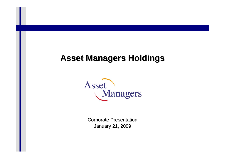## **Asset Managers Holdings Asset Managers Holdings**



**Corporate Presentation** January 21, 2009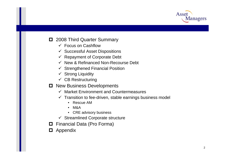

#### $\Box$  2008 Third Quarter Summary

- $\checkmark$  Focus on Cashflow
- $\checkmark$  Successful Asset Dispositions
- $\checkmark$  Repayment of Corporate Debt
- $\checkmark$  New & Refinanced Non-Recourse Debt
- $\checkmark$  Strengthened Financial Position
- $\checkmark$  Strong Liquidity
- $\checkmark$  CB Restructuring
- $\Box$  New Business Developments
	- $\checkmark$  Market Environment and Countermeasures
	- $\checkmark$  Transition to fee-driven, stable earnings business model
		- Rescue AM
		- M&A
		- CRE advisory business
	- $\checkmark$  Streamlined Corporate structure
- **□** Financial Data (Pro Forma)
- **D** Appendix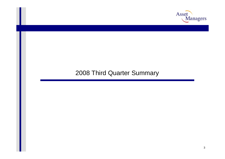

#### 2008 Third Quarter Summary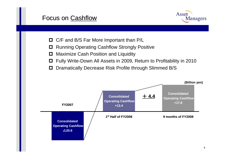#### Focus on <u>Cashflow</u>



- □ C/F and B/S Far More Important than P/L
- $\Box$ Running Operating Cashflow Strongly Positive
- 0 Maximize Cash Position and Liquidity
- 0 Fully Write-Down All Assets in 2009, Return to Profitability in 2010
- $\Box$ Dramatically Decrease Risk Profile through Slimmed B/S

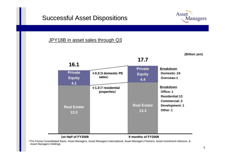#### **Successful Asset Dispositions**



#### JPY18B in asset sales through Q3



\*Pro Forma Consolidated Basis: Asset Managers, Asset Managers International, Asset Managers Partners, Asset Investment Advisors, & Asset Managers Holdings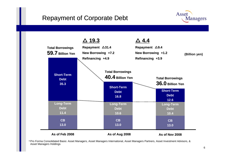#### Repayment of Corporate Debt





\*Pro Forma Consolidated Basis: Asset Managers, Asset Managers International, Asset Managers Partners, Asset Investment Advisors, & Asset Managers Holdings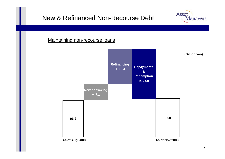#### New & Refinanced Non-Recourse Debt





**Asset** 

**Managers**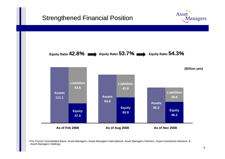#### **Strengthened Financial Position**



\*Pro Forma Consolidated Basis: Asset Managers, Asset Managers International, Asset Managers Partners, Asset Investment Advisors, & Asset Managers Holdings

Asset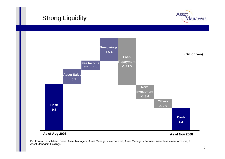## **Strong Liquidity**





\*Pro Forma Consolidated Basis: Asset Managers, Asset Managers International, Asset Managers Partners, Asset Investment Advisors, & Asset Managers Holdings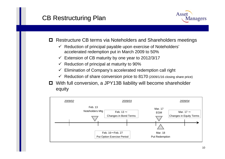#### CB Restructuring Plan



- п Restructure CB terms via Noteholders and Shareholders meetings
	- $\checkmark$  Reduction of principal payable upon exercise of Noteholders' accelerated redemption put in March 2009 to 50%
	- $\checkmark$  Extension of CB maturity by one year to 2012/3/17
	- $\checkmark$  Reduction of principal at maturity to 90%
	- $\checkmark$ Elimination of Company's accelerated redemption call right
	- $\checkmark$  Reduction of share conversion price to 8170 (2009/1/16 closing share price)
- With full conversion, a JPY13B liability will become shareholder equity

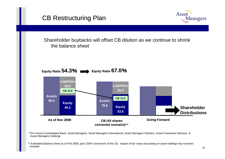



Shareholder buybacks will offset CB dilution as we continue to shrink the balance sheet



\*Pro Forma Consolidated Basis: Asset Managers, Asset Managers International, Asset Managers Partners, Asset Investment Advisors, & Asset Managers Holdings

\*\* Estimated Balance sheet as at Feb 2009, post 100% conversion of the CB. Impact of fair value accounting on asset holdings has not been included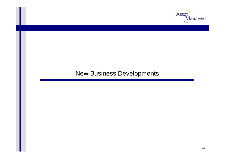

#### New Business Developments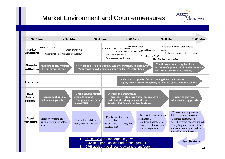## Market Environment and Countermeasures



| <b>2007 Aug</b>                         | <b>2008 Mar</b>                                                   | <b>2008 June</b>                                                                                  | <b>2008 Sept</b>                                                                                                                                                                      | <b>2008 Dec</b>                                                                                                                              | <b>2009 Mar</b>                                                                                                                                                                                                    |    |
|-----------------------------------------|-------------------------------------------------------------------|---------------------------------------------------------------------------------------------------|---------------------------------------------------------------------------------------------------------------------------------------------------------------------------------------|----------------------------------------------------------------------------------------------------------------------------------------------|--------------------------------------------------------------------------------------------------------------------------------------------------------------------------------------------------------------------|----|
| <b>Market</b><br><b>Conditions</b>      | ·Subprime crisis<br>· Implementation of financial product law     | Credit crunch hits                                                                                | Increase in real estate failures<br>· Increase in cap rates<br>· Polarization in land values                                                                                          | <b>-Lehman shock</b><br>•Condominium market slows<br>•Condominium market slows<br>Nikkei under 7.000<br>. New City REIT bankruptcy           | · Increase in office vacancy rates<br>·Real economy goes into recession                                                                                                                                            |    |
| <b>Financial</b><br><b>Institutions</b> | <b>Lending to RE reduced</b><br><b>·Mezz market shrinks</b>       |                                                                                                   | <b>·Further reduction in lending. Greater selectivity on borrowers</b><br>• Withdrawal or reduction in lending by foreign institutions                                                |                                                                                                                                              | <b>•MtoM</b> losses on security holdings<br><b>Example 1 Example 2 For Sequity capital further increases</b><br>constraints on real estate lending                                                                 |    |
| <b>Investors</b>                        |                                                                   |                                                                                                   |                                                                                                                                                                                       | <b>·Reduction in appetite for risk among domestic investors</b><br><b>Equity interest from foreigners, but non-recourse debt unavailable</b> |                                                                                                                                                                                                                    |    |
| Real<br><b>Estate</b><br><b>Market</b>  | <b>Leverage continues to</b><br>fuel market growth                | <b>• Credit crunch reduces</b><br>access to capital<br><b>Compliance costs due</b><br>to new FIEL | <b>Increase in bankruptcies</b><br><b>Difficulties in refinancing non-recourse debt</b><br><b>Switch to shrinking balance sheets</b><br><b>· Weaker AM firms lose client business</b> |                                                                                                                                              | <b>Refinancing and asset</b><br>sales become top priorities,                                                                                                                                                       |    |
| <b>Asset</b><br><b>Managers</b>         | Starts prioritizing asset<br>sales to shrink the balance<br>sheet | Asset sales and debt<br>repayments continue                                                       | <b>· Equity injection received</b><br>from Ichigo<br>•Continues shrinking the<br>balance sheet                                                                                        | · Success in non-recourse<br>refinancing<br><b>Continued asset sales</b><br><b>·Business refocused on</b><br>asset management                | •CB restructuring removes<br>debt repayment pressure<br>·Business restructured.<br>Asset Investors deconsolidated<br><b>·Early implementation of fair</b><br>market accounting to realize<br>embedded asset losses |    |
|                                         |                                                                   | .1.<br>2.<br>3.                                                                                   | Rescue AM to drive organic growth<br>M&A to expand assets under management<br>CRE advisory business to expand client footprint                                                        |                                                                                                                                              | <b>New Strategy</b>                                                                                                                                                                                                | 13 |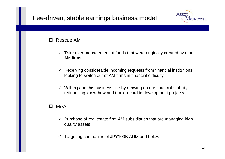#### Fee-driven, stable earnings business model

#### $\Box$ Rescue AM

- $\checkmark$  Take over management of funds that were originally created by other AM firms
- $\checkmark$  Receiving considerable incoming requests from financial institutions looking to switch out of AM firms in financial difficulty
- $\checkmark$  Will expand this business line by drawing on our financial stability, refinancing know-how and track record in development projects

#### П. M&A

- $\checkmark$  Purchase of real estate firm AM subsidiaries that are managing high quality assets
- $\checkmark$ Targeting companies of JPY100B AUM and below

Managers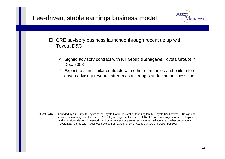#### Fee-driven, stable earnings business model



- **□** CRE advisory business launched through recent tie up with Toyota D&C
	- $\checkmark$  Signed advisory contract with KT Group (Kanagawa Toyota Group) in Dec. 2008
	- $\checkmark$  Expect to sign similar contracts with other companies and build a feedriven advisory revenue stream as a strong standalone business line

\*Toyota D&C Founded by Mr. Hiroyuki Toyota of the Toyota Motor Corporation founding family. Toyota D&C offers: ① Design and construction management services; ② Facility management services; ③ Real Estate brokerage services to Toyota and Hino Motor dealership networks and other related companies, educational institutions, and other corporations. Toyota D&C signed a joint business development agreement with Asset Managers in December 2008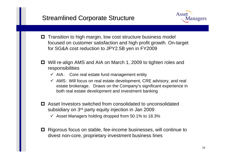#### **Streamlined Corporate Structure**



- $\blacksquare$  Transition to high margin, low cost structure business model focused on customer satisfaction and high profit growth. On-target for SG&A cost reduction to JPY2.5B yen in FY2009
- Will re-align AMS and AIA on March 1, 2009 to tighten roles and responsibilities
	- $\checkmark$  AIA: Core real estate fund management entity
	- $\checkmark$  AMS: Will focus on real estate development, CRE advisory, and real estate brokerage. Draws on the Company's significant experience in both real estate development and investment banking
- Asset Investors switched from consolidated to unconsolidated subsidiary on 3rd party equity injection in Jan 2009
	- $\checkmark$  Asset Managers holding dropped from 50.1% to 18.3%
- **□** Rigorous focus on stable, fee-income businesses, will continue to divest non-core, proprietary investment business lines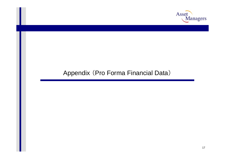

#### Appendix (Pro Forma Financial Data)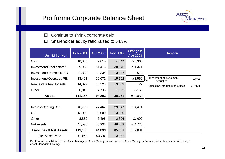#### Pro forma Corporate Balance Sheet



- $\Box$ Continue to shrink corporate debt
- $\Box$ Shareholder equity ratio r aised to 54.3%

| (Unit: Million yen)                 | Feb 2008 | <b>Aug 2008</b> | <b>Nov 2008</b> | Change in<br><b>Aug 2008</b> | Reason                                         |
|-------------------------------------|----------|-----------------|-----------------|------------------------------|------------------------------------------------|
| Cash                                | 10,868   | 9,815           | 4,449           | $\Delta$ 5,366               |                                                |
| Investment (Real estate)            | 39,908   | 31,416          | 30,045          | $\Delta$ 1,371               |                                                |
| Investment (Domestic PE)            | 21,888   | 13,334          | 13,947          | 612                          |                                                |
| Investment (Overseas PE)            | 18,421   | 19,072          | 15,502          | $\Delta$ 3,569               | Impairment of investment<br>687M<br>securities |
| Real estate held for sale           | 14,027   | 13,523          | 13,553          | 29                           | Subsidiary mark to market loss<br>2,745M       |
| Other                               | 6,046    | 7,733           | 7,565           | $\Delta$ 168                 |                                                |
| <b>Assets</b>                       | 111,158  | 94,893          | 85,061          | $\triangle$ 9,832            |                                                |
|                                     |          |                 |                 |                              |                                                |
| <b>Interest-Bearing Debt</b>        | 46,763   | 27,462          | 23,047          | $\triangle$ 4,414            |                                                |
| CB                                  | 13,000   | 13,000          | 13,000          | $\overline{0}$               |                                                |
| Other                               | 3,859    | 3,498           | 2,806           | $\triangle$ 692              |                                                |
| <b>Net Assets</b>                   | 47,535   | 50,933          | 46,208          | $\triangle$ 4,725            |                                                |
| <b>Liabilities &amp; Net Assets</b> | 111,158  | 94,893          | 85,061          | $\Delta$ 9,831               |                                                |
| <b>Net Asset Ratio</b>              | 42.8%    | 53.7%           | 54.3%           |                              |                                                |

\*Pro Forma Consolidated Basis: Asset Managers, Asset Managers International, Asset Managers Partners, Asset Investment Advisors, & Asset Manag ers Holdings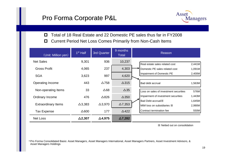

0 Total of 18 Real Estate and 22 Domestic PE sales thus far in FY2008

 $\Box$ Current Period Net Loss Comes Primarily from Non-Cash Items

| (Unit: Million yen)        | 1 <sup>st</sup> Half | <b>3rd Quarter</b> | 9 months<br>Total | Reason                                                               |
|----------------------------|----------------------|--------------------|-------------------|----------------------------------------------------------------------|
| <b>Net Sales</b>           | 9,301                | 936                | 10,237            | Real estate sales related cost<br>2,441M                             |
| <b>Gross Profit</b>        | 4,065                | 237                | 4,303             | 1,091M<br>Domestic PE sales related cost                             |
| <b>SGA</b>                 | 3,623                | 997                | 4,620             | 2,400M<br>Impairment of Domestic PE                                  |
| Operating Income           | 443                  | $\Delta$ 758       | $\Delta$ 315      | Bad debt accrual<br>1,563M                                           |
| Non-operating Items        | 33                   | $\Delta 68$        | $\Delta$ 35       | 576M<br>Loss on sales of investment securities                       |
| Ordinary Income            | 476                  | $\Delta$ 826       | $\Delta$ 350      | Impairment of investment securities<br>1,443M                        |
| <b>Extraordinary Items</b> | $\Delta$ 3,383       | $\Delta$ 3,970     | $\Delta$ 7,353    | Bad Debt accrual X<br>1,645M<br>2,990M<br>MtM loss on subsidiaries X |
| <b>Tax Expense</b>         | $\Delta 600$         | 177                | $\triangle$ 422   | Contract termination fee<br>550M                                     |
| <b>Net Loss</b>            | $\Delta$ 2,307       | $\Delta$ 4,975     | $\Delta$ 7,282    |                                                                      |

※ Netted out on consolidation

\*Pro Forma Consolidated Basis: Asset Managers, Asset Managers International, Asset Managers Partners, Asset Investment Advisors, & Asset Manag ers Holdings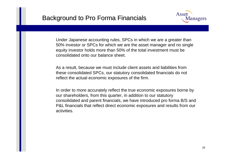

Under Japanese accounting rules, SPCs in which we are a greater than 50% investor or SPCs for which we are the asset manager and no single equity investor holds more than 50% of the total investment must be consolidated onto our balance sheet.

As a result, because we must include client assets and liabilities from these consolidated SPCs, our statutory consolidated financials do not reflect the actual economic exposures of the firm.

In order to more accurately reflect the true economic exposures borne by our shareholders, from this quarter, in addition to our statutory consolidated and parent financials, we have introduced pro forma B/S and P&L financials that reflect direct economic exposures and results from our activities.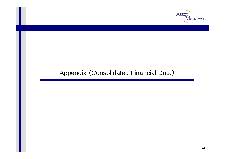

## Appendix (Consolidated Financial Data)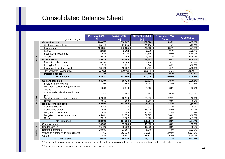#### **Consolidated Balance Sheet**



|             |                                               | February 2008 | August 2008    | November 2008  | November 2008  | C versus A       |
|-------------|-----------------------------------------------|---------------|----------------|----------------|----------------|------------------|
|             | (unit: million yen)                           | [A]           | [B]            | [C]            | <b>Ratio</b>   |                  |
|             | <b>Current assets</b>                         | 238,677       | 210,827        | 197,920        | 89.5%          | $\Delta$ 17.1%   |
|             | Cash and equivalents                          | 33,113        | 29,293         | 25,186         | 11.4%          | $\Delta$ 23.9%   |
|             | Inventories                                   | 156,531       | 146,685        | 145,209        | 65.7%          | $\Delta$ 7.2%    |
|             | Loans                                         | 2,029         | 1,302          | 1,575          | 0.7%           | $\Delta$ 22.4%   |
|             | Securities investments                        | 37,923        | 26,236         | 20,899         | 9.5%           | $\Delta$ 44.9%   |
|             | Others                                        | 9,078         | 7,309          | 5.048          | 2.3%           | $\Delta$ 44.4%   |
| Assets      | <b>Fixed assets</b>                           | 25,674        | 22,803         | 22,903         | 10.4%          | $\Delta$ 10.8%   |
|             | Property and equipment                        | 6,530         | 8,389          | 8,186          | 3.7%           | 25.4%            |
|             | Intangible fixed assets                       | 723           | 691            | 644            | 0.3%           | $\Delta$ 10.9%   |
|             | Investments & other assets                    | 18,420        | 13,722         | 14,071         | 6.4%           | $\Delta$ 23.6%   |
|             | (Investments in securities)                   | (15, 907)     | (10, 879)      | (11, 244)      | $(5.1\%)$      | $(\Delta 29.3%)$ |
|             | <b>Deferred assets</b>                        | 329           | 229            | 186            | 0.1%           | $\Delta$ 43.4%   |
|             | <b>Total assets</b>                           | 264,681       | 233,859        | 221,010        | 100.0%         | $\Delta$ 16.5%   |
|             | <b>Current liabilities</b>                    | 84,207        | 65,423         | 62,713         | 28.4%          | $\Delta$ 25.5%   |
|             | Short-term borrowings                         | 31,703        | 13,802         | 8,408          | 3.8%           | $\Delta$ 73.5%   |
|             | Long-term borrowings (due within<br>one year) | 4,888         | 6,846          | 7,658          | 3.5%           | 56.7%            |
|             | Corporate bonds (due within one<br>vear)      | 7,466         | 2,467          | 467            | 0.2%           | $\Delta$ 93.7%   |
| Liabilities | Short-term non-recourse loans <sup>1</sup>    | 32.593        | 35,118         | 37.872         | 17.1%          | 16.2%            |
|             | <b>Others</b>                                 | 7,556         | 7,188          | 8,306          | 3.8%           | 9.9%             |
|             | <b>Non-current liabilities</b>                | 103,890       | 101,960        | 98,283         | 44.4%          | $\Delta$ 5.4%    |
|             | Corporate bonds                               | 3,168         | 2.934          | 2.834          | 1.3%           | $\Delta$ 10.5%   |
|             | Convertible bonds                             | 17,025        | 17,025         | 16,475         | 5.9%           | $\Delta$ 3.2%    |
|             | Long-term borrowings                          | 11,042        | 13,346         | 13,004         | 7.5%           | 17.8%            |
|             | Long-term non-recourse loans <sup>2</sup>     | 65,441        | 61,073         | 58,887         | 26.6%          | $-10.0%$         |
|             | Others                                        | 7,213         | 7,582          | 7,083          | 3.2%           | $\Delta$ 1.8%    |
|             | <b>Total liabilities</b>                      | 188,098       | 167,384        | 160,997        | 72.8%          | $\Delta$ 14.4%   |
|             | Common stock                                  | 16,583        | 19,083         | 19,083         | 8.6%           | 15.1%            |
|             | Capital surplus                               | 16,429        | 18,929         | 18,929         | 8.6%           | 15.2%            |
|             | Retained earnings                             | 18,685        | 13,587         | 8,845          | 4.0%           | $\Delta$ 52.7%   |
| Net assets  | Valuation & translation adjustments           | 461           | $\Delta$ 1,713 | $\Delta$ 1,957 | $\Delta 0.9\%$ | $\Delta$ 524.6%  |
|             | Others                                        | 24,423        | 16,587         | 15,111         | 6.8%           | $\Delta$ 38.1%   |
|             | <b>Total net assets</b>                       | 76,583        | 66,475         | 60,013         | 27.2%          | $\Delta$ 21.6%   |

Net assets

1 Su m of short-ter m non-recourse loans, the current portion of long-term non-recourse loans, and non-recourse bonds redee mable within one year

2 Su m of long-term non-recourse loans and long-ter m non-recourse bonds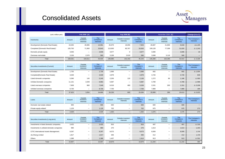#### Consolidated Assets



| (unit: million yen)                |         | Feb 2008 [A]                       |                               |         | Aug 2008 [B]                    |                                      |         | November 2008 [C]                  |                               |                            |
|------------------------------------|---------|------------------------------------|-------------------------------|---------|---------------------------------|--------------------------------------|---------|------------------------------------|-------------------------------|----------------------------|
| Inventories                        | Amount  | Outside<br>investors'<br>interests | The<br>Company's<br>interests | Amount  | Outside investors'<br>interests | <b>The</b><br>Company's<br>interests | Amount  | Outside<br>investors'<br>interests | The<br>Company's<br>interests | The Company's<br>interests |
| Development (Domestic Real Estate) | 43,946  | 28,985                             | 14,961                        | 25,979  | 18,056                          | 7,923                                | 28,687  | 21,869                             | 6,818                         | $\Delta$ 1,105             |
| Completed (Domestic Real Estate))  | 105,793 | 71,950                             | 33,843                        | 113,830 | 80,767                          | 33,063                               | 109.128 | 77,308                             | 31,820                        | $\triangle$ 1,243          |
| Domestic private equity            | 3,636   |                                    | 3,636                         | 3,677   |                                 | 3,677                                | 3,696   | $\overline{\phantom{0}}$           | 3,696                         | 19                         |
| Overseas real estate               | 3,156   | 2,576                              | 580                           | 3.199   | 2,619                           | 580                                  | 3,698   | 3,118                              | 580                           | $\overline{\phantom{0}}$   |
| Total                              | 156,531 | 103,511                            | 53,020                        | 146,685 | 101,442                         | 45,243                               | 145,209 | 102,295                            | 42,914                        | $\triangle$ 2,329          |
|                                    |         |                                    |                               |         |                                 |                                      |         |                                    |                               |                            |

| Securities investments (Current)   | Amount | Outside<br>investors'<br>interests | The<br>Company's<br>interests | Amount | Outside investors'<br>interests | <b>The</b><br>Company's<br>interests | Amount | Outside<br>investors'<br>interests | The<br>Company's<br>interests | The Company's<br><i>interests</i> |
|------------------------------------|--------|------------------------------------|-------------------------------|--------|---------------------------------|--------------------------------------|--------|------------------------------------|-------------------------------|-----------------------------------|
| Development (Domestic Real Estate) | 1,735  | $\overline{\phantom{0}}$           | 1,735                         | 1,696  | $\overline{\phantom{0}}$        | 1,696                                | 692    | $\overline{\phantom{0}}$           | 692                           | $\triangle$ 1.004                 |
| Completed(Domestic Real Estate)    | 3,028  | $\overline{\phantom{m}}$           | 3,028                         | 2,878  | $\overline{\phantom{0}}$        | 2,878                                | 3.726  | $\overline{\phantom{0}}$           | 3,726                         | 848                               |
| Listed domestic companies          | 5,390  | 145                                | 5,245                         | 2,256  | 120                             | 2,136                                | 1,272  | 86                                 | 1,186                         | $\Delta$ 950                      |
| Unlisted domestic companies        | 11,131 | 2,049                              | 9,082                         | 5,687  | $\qquad \qquad$                 | 5,687                                | 4,789  | $\qquad \qquad -$                  | 4,789                         | $\triangle$ 898                   |
| Listed overseas companies          | 7,909  | 860                                | 7,049                         | 6,019  | 480                             | 5,539                                | 2,531  | 200                                | 2,331                         | $\triangle$ 3,208                 |
| Unlisted overseas companies        | 8.730  |                                    | 8,730                         | 7.700  | -                               | 7,700                                | 7.889  | $\overline{\phantom{0}}$           | 7.889                         | 189                               |
| Total                              | 37,923 | 3,054                              | 34,869                        | 26,236 | 600                             | 25,636                               | 20,899 | 286                                | 20,613                        | $\Delta$ 5,023                    |

| Loans                        | Amount | Outside<br>investors'<br>interests | <b>The</b><br>Company's<br><i>interests</i> | Amount | Outside investors'<br>interests | The<br>Company's<br>interests | Amount | Outside<br>investors<br>interests | <b>The</b><br>Company's<br>interests | The Company's<br>interests |
|------------------------------|--------|------------------------------------|---------------------------------------------|--------|---------------------------------|-------------------------------|--------|-----------------------------------|--------------------------------------|----------------------------|
| Domestic real estate-related | 900    | $\overline{\phantom{a}}$           | 900                                         | 600    | $\overline{\phantom{0}}$        | 600                           | 600    | $\qquad \qquad$                   | 600                                  | $\overline{\phantom{0}}$   |
| Private equity-related       | 1,129  | $\overline{\phantom{0}}$           | .129                                        | 702    | $\overline{\phantom{0}}$        | 702                           | 975    | $\overline{\phantom{m}}$          | 975                                  | 273                        |
| Total                        | 2,029  | $\overline{\phantom{0}}$           | 2,029                                       | 1,302  | $\overline{\phantom{0}}$        | 1,302                         | 1,575  | $\overline{\phantom{0}}$          | 1,575                                | 273                        |

| Securities investments (Long-term)           | Amount | Outside<br>investors'<br>interests | <b>The</b><br>Company's<br>interests | Amount | Outside investors'<br>interests | <b>The</b><br>Company's<br>interests | Amount | Outside<br>investors'<br>interests | <b>The</b><br>Company's<br>interests | The Company's<br>interests |
|----------------------------------------------|--------|------------------------------------|--------------------------------------|--------|---------------------------------|--------------------------------------|--------|------------------------------------|--------------------------------------|----------------------------|
| Investments in listed domestic companies     | 3,425  |                                    | 3,425                                | 816    |                                 | 816                                  | 497    | $\overline{\phantom{0}}$           | 497                                  | $\triangle$ 319            |
| Investments in unlisted domestic companies   | 980    |                                    | 980                                  | 270    |                                 | 270                                  | 1,613  | $\overline{\phantom{0}}$           | 1,613                                | 1,343                      |
| <b>CITIC International Assets Management</b> | 8,297  |                                    | 8,297                                | 8,073  |                                 | 8,073                                | 8,009  | $\overline{\phantom{0}}$           | 8,009                                | $\triangle$ 64             |
| Jia Sheng Limited                            | 1,817  | $\overline{\phantom{0}}$           | 1,817                                | 306    |                                 | 306                                  | 212    | $\overline{\phantom{0}}$           | 212                                  | $\triangle$ 94             |
| Others                                       | 1,388  | $\overline{\phantom{m}}$           | 1,388                                | 1,457  |                                 | 1,414                                | 913    | $\overline{\phantom{0}}$           | 913                                  | $\Delta$ 501               |
| Total                                        | 15.907 | $\overline{\phantom{m}}$           | 15,907                               | 10.879 | $\qquad \qquad -$               | 10.879                               | 11.244 | $\qquad \qquad -$                  | 11.244                               | 365                        |

 $\mathbf{I}$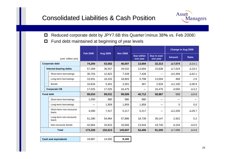#### Consolidated Liabilities & Cash Position



- $\Box$ ■ Reduced corporate debt by JPY7.6B this Quarter (minus 38% vs. Feb 2008)
- $\Box$ Fund debt maintained at beginning of year levels

|              |                     |                                  |         | <b>Feb 2008</b><br><b>Aug 2008</b> |         |                        |                         | <b>Change in Aug 2008</b> |                  |
|--------------|---------------------|----------------------------------|---------|------------------------------------|---------|------------------------|-------------------------|---------------------------|------------------|
|              | (unit: million yen) |                                  |         |                                    |         | Due within<br>one year | Due in over<br>one year | <b>Amount</b>             | <b>Ratio</b>     |
|              |                     | <b>Corporate debt</b>            | 74,294  | 53,582                             | 46,007  | 13,694                 | 32,313                  | $\Delta$ 7,574            | $\triangle$ 14.1 |
|              |                     | Interest-bearing debts           | 57,269  | 36,557                             | 29,532  | 13,694                 | 15,838                  | $\Delta$ 7,024            | $\Delta$ 19.2    |
|              |                     | Short-term borrowings            | 30,703  | 12,822                             | 7,428   | 7,428                  |                         | $\Delta$ 5,394            | $\Delta$ 42.1    |
|              |                     | Long-term borrowings             | 15,931  | 18,333                             | 18,803  | 5,798                  | 13,004                  | 469                       | 2.6              |
|              |                     | <b>Bonds</b>                     | 10,634  | 5,401                              | 3,301   | 467                    | 2,834                   | $\Delta$ 2,100            | $\Delta$ 38.9    |
|              | <b>Corporate CB</b> |                                  | 17,025  | 17,025                             | 16,475  |                        | 16,475                  | $\Delta$ 550              | $\Delta$ 3.2     |
|              |                     | <b>Fund debt</b>                 | 99,034  | 99,031                             | 99,599  | 40,712                 | 58,887                  | 568                       | $\Delta 0.6$     |
|              |                     | Short-term borrowings            | 1,000   | 980                                | 980     | 980                    |                         |                           |                  |
|              |                     | Long-term borrowings             |         | 1,859                              | 1,859   | 1,859                  |                         | $\mathbf 0$               | 0.0              |
|              |                     | Short-term non-recourse<br>loans | 4,090   | 7,417                              | 5,217   | 5,217                  |                         | $\Delta$ 2,200            | $\Delta$ 29.7    |
|              |                     | Long-term non-recourse<br>loans  | 51,280  | 54,964                             | 57,886  | 18,739                 | 39,147                  | 2,922                     | 5.2              |
|              |                     | Non-recourse bonds               | 42,664  | 33,810                             | 33,656  | 13,916                 | 19,740                  | $\triangle$ 154           | $\Delta 0.5$     |
| <b>Total</b> |                     |                                  | 173,328 | 152,613                            | 145,607 | 54,406                 | 91,200                  | $\Delta$ 7,006            | $\Delta$ 4.6     |

| <b>Cash and equivalents</b> | 16,887 | 14,592 | 9,182 |
|-----------------------------|--------|--------|-------|
|-----------------------------|--------|--------|-------|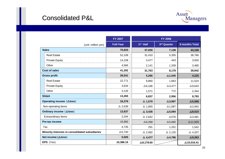#### **Consolidated P&L**



|                                                 | <b>FY 2007</b>   | <b>FY 2008</b>       |                   |                       |
|-------------------------------------------------|------------------|----------------------|-------------------|-----------------------|
| (unit: million yen)                             | <b>Full-Year</b> | 1 <sup>st</sup> Half | 3rd Quarter       | <b>9 months Total</b> |
| <b>Sales</b>                                    | 70,833           | 37,030               | 7,138             | 44,168                |
| <b>Real Estate</b>                              | 52,108           | 31,410               | 5,355             | 36,766                |
| <b>Private Equity</b>                           | 14,158           | 3,477                | 443               | 3,920                 |
| Other                                           | 4,566            | 2,141                | 1,339             | 3,480                 |
| <b>Cost of sales</b>                            | 41,292           | 31,763               | 8,178             | 39,942                |
| <b>Gross profit</b>                             | 29,541           | 5,266                | $\Delta$ 1,040    | 4,225                 |
| <b>Real Estate</b>                              | 22,771           | 9,860                | 1,663             | 11,524                |
| <b>Private Equity</b>                           | 3,634            | $\Delta 6, 166$      | $\triangle$ 3,477 | $\Delta$ 9,643        |
| Other                                           | 3,135            | 1,571                | 772               | 2,344                 |
| <b>SG&amp;A</b>                                 | 13,265           | 6,837                | 2,956             | 9,793                 |
| Operating income ( $\triangle$ loss)            | 16,276           | $\Delta$ 1,570       | $\Delta$ 3,997    | $\Delta$ 5,568        |
| Non-operating items                             | $\Delta$ 2,639   | $\triangle$ 1,855    | $\Delta$ 1,087    | $\Delta$ 2,942        |
| Ordinary income (Aloss)                         | 13,637           | $\Delta$ 3,426       | $\Delta$ 5,084    | $\Delta$ 8,510        |
| <b>Extraordinary items</b>                      | 2,344            | $\triangle$ 2,842    | $\Delta$ 576      | $\Delta$ 3,481        |
| <b>Pre-tax income</b>                           | 15,982           | $\Delta 6,268$       | $\Delta$ 5,660    | $\Delta$ 11,929       |
| Tax                                             | 4,735            | 291                  | 1,251             | 1,542                 |
| Minority Interests in consolidated subsidiaries | $\Delta$ 5,740   | $\triangle$ 2,082    | $\triangle$ 2,125 | $\triangle$ 4,207     |
| Net income (△loss)                              | 5,505            | $\triangle$ 4,477    | $\Delta$ 4,786    | $\Delta$ 9,263        |
| EPS (Yen)                                       | 10,386.15        | $\Delta$ 8,178.60    |                   | $\Delta$ 15,016.41    |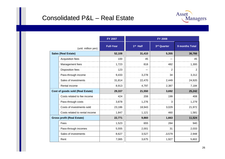#### Consolidated P&L – Real Estate



|                            |                                   | <b>FY 2007</b>   | <b>FY 2008</b>       |              |                |  |  |  |
|----------------------------|-----------------------------------|------------------|----------------------|--------------|----------------|--|--|--|
|                            | (unit: million yen)               | <b>Full-Year</b> | 1 <sup>st</sup> Half | 3rd Quarter  | 9 months Total |  |  |  |
| <b>Sales (Real Estate)</b> |                                   | 52,108           | 31,410               | 5,355        | 36,766         |  |  |  |
|                            | Acquisition fees                  | 100              | 45                   |              | 45             |  |  |  |
|                            | Management fees                   | 1,723            | 818                  | 482          | 1,300          |  |  |  |
|                            | <b>Disposition fees</b>           | 123              |                      | 2            | $\overline{2}$ |  |  |  |
|                            | Pass-through income               | 9,433            | 3,278                | 34           | 3,312          |  |  |  |
|                            | Sales of investments              | 31,814           | 22,470               | 2,449        | 24,920         |  |  |  |
|                            | Rental income                     | 8,913            | 4,797                | 2,387        | 7,184          |  |  |  |
|                            | Cost of goods sold (Real Estate)  | 29,337           | 21,550               | 3,692        | 25,242         |  |  |  |
|                            | Costs related to fee income       | 424              | 208                  | 199          | 408            |  |  |  |
|                            | Pass-through costs                | 3,878            | 1,276                | 3            | 1,279          |  |  |  |
|                            | Costs of investments sold         | 23,186           | 18,943               | 3,029        | 21,972         |  |  |  |
|                            | Costs related to rental income    | 1,847            | 1,121                | 460          | 1,581          |  |  |  |
|                            | <b>Gross profit (Real Estate)</b> | 22,771           | 9,860                | 1,663        | 11,524         |  |  |  |
|                            | Fees                              | 1,523            | 655                  | 284          | 940            |  |  |  |
|                            | Pass-through incomes              | 5,555            | 2,001                | 31           | 2,033          |  |  |  |
|                            | Sales of investments              | 8,627            | 3,527                | $\Delta$ 579 | 2,948          |  |  |  |
|                            | Rent                              | 7,065            | 3,675                | 1,927        | 5,602          |  |  |  |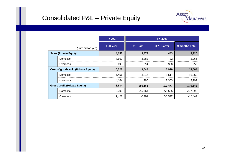#### Consolidated P&L – Private Equity



|                                            |          | <b>FY 2007</b>   | <b>FY 2008</b>       |                |                   |  |
|--------------------------------------------|----------|------------------|----------------------|----------------|-------------------|--|
| (unit: million yen)                        |          | <b>Full-Year</b> | 1 <sup>st</sup> Half | 3rd Quarter    | 9 months Total    |  |
| <b>Sales (Private Equity)</b>              |          | 14,158           | 3,477                | 443            | 3,920             |  |
|                                            | Domestic | 7,662            | 2,883                | 82             | 2,965             |  |
|                                            | Overseas | 6,495            | 594                  | 360            | 955               |  |
| <b>Cost of goods sold (Private Equity)</b> |          | 10,523           | 9,644                | 3,920          | 13,564            |  |
|                                            | Domestic | 5,456            | 8,647                | 1,617          | 10,265            |  |
|                                            | Overseas | 5,067            | 996                  | 2,303          | 3,299             |  |
| <b>Gross profit (Private Equity)</b>       |          | 3,634            | $\Delta$ 6,166       | $\Delta$ 3,477 | $\triangle$ 9,643 |  |
|                                            | Domestic | 2,206            | $\Delta$ 5,764       | $\Delta$ 1,535 | $\triangle$ 7,299 |  |
|                                            | Overseas | 1,428            | $\Delta$ 401         | $\Delta$ 1,942 | $\Delta$ 2,344    |  |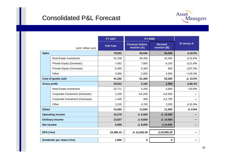#### **Consolidated P&L Forecast**



|                           |                                  | <b>FY 2007</b>   | <b>FY 2008</b>                         |                                |                   |
|---------------------------|----------------------------------|------------------|----------------------------------------|--------------------------------|-------------------|
|                           | (unit: million yen)              | <b>Full-Year</b> | <b>Forecast before</b><br>revision [A] | <b>Revised</b><br>revision [B] | <b>B</b> versus A |
| <b>Sales</b>              |                                  | 70,833           | 66,500                                 | 54,200                         | $\Delta$ 18.5%    |
|                           | <b>Real Estate Investment</b>    | 52,108           | 50,400                                 | 42,400                         | $\Delta$ 15.9%    |
|                           | <b>Private Equity (Domestic)</b> | 7,662            | 7,800                                  | 6,100                          | △21.8%            |
|                           | Private Equity (Overseas)        | 6,495            | 6,300                                  | 800                            | $\Delta$ 87.3%    |
|                           | Other                            | 4,566            | 2,000                                  | 4,900                          | $+145.0%$         |
|                           | Cost of goods sold               | 41,292           | 61,400                                 | 53,200                         | $\Delta$ 13.0%    |
| <b>Gross profit</b>       |                                  | 29,541           | 5,100                                  | 1,000                          | $\Delta 80.4\%$   |
|                           | <b>Real Estate Investment</b>    | 22,771           | 5,200                                  | 6,800                          | +30.8%            |
|                           | Corporate Investment (Domestic)  | 2,206            | $\Delta$ 5,200                         | $\Delta 6,300$                 |                   |
|                           | Corporate Investment (Overseas)  | 1,428            | 400                                    | $\Delta$ 2,700                 |                   |
|                           | Other                            | 3,135            | 4,700                                  | 3,200                          | $\Delta$ 31.9%    |
| <b>SG&amp;A</b>           |                                  | 13,265           | 11,600                                 | 11,500                         | $\Delta$ 0.9%     |
|                           | <b>Operating income</b>          | 16,276           | $\Delta$ 6,500                         | $\Delta$ 10,500                |                   |
| <b>Ordinary income</b>    |                                  | 13,637           | $\triangle$ 9,600                      | $\triangle$ 14,500             |                   |
| <b>Net income</b>         |                                  | 5,505            | $\Delta$ 8,000                         | $\Delta$ 15,000                |                   |
| EPS (Yen)                 |                                  | 10,386.15        | $\Delta$ 12,262.30                     | $\Delta$ 23,005.29             |                   |
| Dividends per share (Yen) |                                  | 1,800            | $\mathbf 0$                            | 0                              |                   |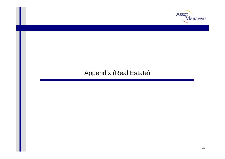

#### Appendix (Real Estate)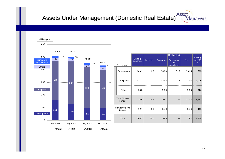# Assets Under Management (Domestic Real Estate) **Asset** Managers



|                           | (billion yen)                   | Ending<br><b>Feb2008</b> | Increase | <b>Decrease</b> | <b>Reclassified</b><br>Developme<br>nt<br>completed | <b>Net</b>    | Ending<br><b>Nov200</b><br>8 |
|---------------------------|---------------------------------|--------------------------|----------|-----------------|-----------------------------------------------------|---------------|------------------------------|
|                           | Development                     | 160.9                    | 3.8      | $\Delta$ 48.3   | $\Delta$ 17                                         | $\Delta$ 61.5 | 995                          |
|                           | Completed                       | 311.7                    | 21.1     | $\Delta$ 47.8   | 17                                                  | $\Delta$ 9.6  | 3,020                        |
|                           | Others                          | 23.3                     |          | $\Delta 0.6$    |                                                     | $\Delta 0.6$  | 226                          |
|                           | <b>Total (Private</b><br>Funds) | 496                      | 24.9     | $\Delta$ 96.7   |                                                     | $\Delta$ 71.8 | 4,242                        |
| Company's own<br>interest |                                 | 12.7                     | 0.2      | $\Delta$ 1.8    |                                                     | $\Delta$ 1.6  | 111                          |
| Total                     |                                 | 508.7                    | 25.1     | $\Delta$ 98.5   |                                                     | $\Delta$ 73.4 | 4,354                        |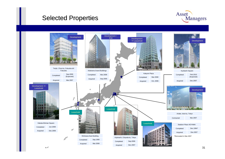#### **Selected Properties**



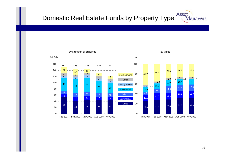#### Asset Domestic Real Estate Funds by Property Type Managers

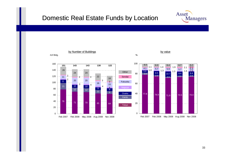#### Domestic Real Estate Funds by Location

0

20

40

60

80

100

120

140

160



Asset

**Managers**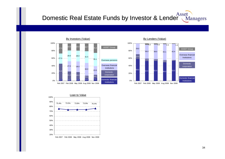## Asset Domestic Real Estate Funds by Investor & Lender Managers





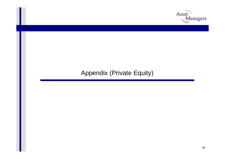

### Appendix (Private Equity)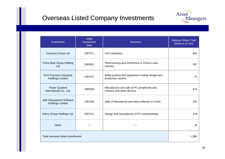#### **Overseas Listed Company Investments**



| Investment                                                     | <b>Initial</b><br>Investment<br><b>Date</b> | <b>Business</b>                                                        | <b>Balance Sheet Total</b><br>(Millions of Yen) |
|----------------------------------------------------------------|---------------------------------------------|------------------------------------------------------------------------|-------------------------------------------------|
| Oceanus Group Ltd                                              | 2007/11                                     | <b>Fish cultivation</b>                                                | 862                                             |
| China Best Group Holding<br>Ltd                                | 2005/02                                     | Restructuring and investment in China's coal<br>industry               | 397                                             |
| <b>EVA Precision Industrial</b><br><b>Holdings Limited</b>     | 2007/07                                     | Metal product and equipment module design and<br>production service    | 75                                              |
| <b>Power Quotient</b><br>International Co., Ltd.               | 2005/06                                     | Manufacture and sale of PC peripherals and<br>memory and other devices | 874                                             |
| <b>A&amp;K Educational Software</b><br><b>Holdings Limited</b> | 2007/09                                     | Sale of educational and other software in China                        | 231                                             |
| Henry Group Holdings Ltd.                                      | 2007/11                                     | Design and manufacture of PC motherboards                              | 119                                             |
| Other                                                          |                                             |                                                                        | 15                                              |
| Total overseas listed investments                              | 1,986                                       |                                                                        |                                                 |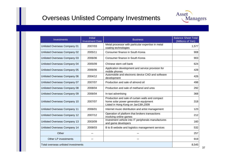#### **Overseas Unlisted Company Investments**



| Investments                                  | <b>Initial</b><br><b>Investment Date</b> | <b>Business</b>                                                                                                                   | <b>Balance Sheet Total</b><br>(Millions of Yen) |  |  |  |
|----------------------------------------------|------------------------------------------|-----------------------------------------------------------------------------------------------------------------------------------|-------------------------------------------------|--|--|--|
| Unlisted Overseas Company 01                 | 2007/03                                  | Metal processor with particular expertise in metal<br>coating technologies                                                        | 1,577                                           |  |  |  |
| Unlisted Overseas Company 02                 | 2005/11                                  | Consumer finance in South Korea                                                                                                   | 908                                             |  |  |  |
| Unlisted Overseas Company 03                 | 2006/06                                  | Consumer finance in South Korea                                                                                                   | 903                                             |  |  |  |
| Unlisted Overseas Company 04                 | 2005/09                                  | Chinese stem cell bank                                                                                                            | 624                                             |  |  |  |
| Unlisted Overseas Company 05                 | 2006/06                                  | Application development and service provision for<br>mobile phones                                                                | 428                                             |  |  |  |
| Unlisted Overseas Company 06                 | 2004/12                                  | Automobile and electronic device CAD and software<br>development                                                                  | 426                                             |  |  |  |
| Unlisted Overseas Company 07                 | 2007/07                                  | Production and sale of almond oil                                                                                                 | 498                                             |  |  |  |
| Unlisted Overseas Company 08                 | 2008/04                                  | Production and sale of methanol and urea                                                                                          | 292                                             |  |  |  |
| Unlisted Overseas Company 09                 | 2006/04                                  | In-taxi advertising                                                                                                               | 368                                             |  |  |  |
| Unlisted Overseas Company 10                 | 2007/07                                  | Production and sale of curtain walls and compact<br>home solar power generation equipment<br>Listed in Hong Kong on Jan13th, 2009 | 318                                             |  |  |  |
| <b>Unlisted Overseas Company 11</b>          | 2006/01                                  | Internet music distribution and artist management                                                                                 | 123                                             |  |  |  |
| Unlisted Overseas Company 12                 | 2007/12                                  | Operation of platform that brokers transactions<br>involving online games                                                         | 212                                             |  |  |  |
| <b>Unlisted Overseas Company 13</b>          | 2003/09                                  | Investment vehicle into IT peripherals manufactures<br>and game developers                                                        | 160                                             |  |  |  |
| <b>Unlisted Overseas Company 14</b>          | 2008/03                                  | B to B website and logistics management services                                                                                  | 532                                             |  |  |  |
| Other                                        |                                          |                                                                                                                                   | 257                                             |  |  |  |
| Other LP investments                         |                                          |                                                                                                                                   | 919                                             |  |  |  |
| 8,545<br>Total overseas unlisted investments |                                          |                                                                                                                                   |                                                 |  |  |  |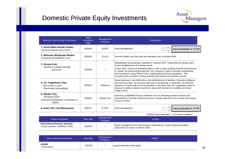## Domestic Private Equity Investments Domestic Private Equity Investments



| <b>Business restructuring investments</b>                                                       | <b>Initial</b><br>Investment<br><b>Date</b> | Management<br>Company | <b>Description</b>                                                                                                                                                                                                                                                                                                                                                                                                                                                             |
|-------------------------------------------------------------------------------------------------|---------------------------------------------|-----------------------|--------------------------------------------------------------------------------------------------------------------------------------------------------------------------------------------------------------------------------------------------------------------------------------------------------------------------------------------------------------------------------------------------------------------------------------------------------------------------------|
| 1. Hotel Nikko Ibaraki Osaka<br>(Formerly Ibaraki Kyoto Hotel)                                  | 2004/03                                     | <b>XAOP</b>           | Hotel management<br>Deconsolidate in FY09                                                                                                                                                                                                                                                                                                                                                                                                                                      |
| 2. Matsudo Wholesale Market<br>(Corporate Rehabilitation Low)                                   | 2005/01                                     | $\times$ ALS          | Secured stable cash flow with and operating rate of at least 90%                                                                                                                                                                                                                                                                                                                                                                                                               |
| 3. Showa Koki<br>Aluminum building materials<br>processor                                       | 2005/08                                     |                       | Rehabilitation proceedings completed in January 2007. Expanding the design team<br>via the establishment of a design center.<br>In May 2007, formed an operating alliance with a major building material manufacturer<br>in Taiwan. By outsourcing production, the company is able to provide competitively<br>priced products, using Showa Koki's sophisticated technical capabilities. The<br>company aims to bolster its sales activities and improve its business results. |
| 4. Izu Yugashima Club<br>Golf course & resort<br>(Bankruptcy proceedings)                       | 2005/07                                     | Albatross             | Grand opening in July 2006 after a full refurbishment of facilities. Formed an alliance<br>with Discovery Bay, an exclusive golf club in Hong Kong, in April 2007. By allowing<br>members of either club to use the facilities of the other club, Izu Yugashima seeks to<br>improve its ability to attract customers, along with increase its visibility and brand<br>image in Asia.                                                                                           |
| 5. Miyako City<br><b>Shopping Center</b><br>(Industrial Revitalization Corporation of<br>Japan) | 2006/02                                     | Miyako City           | Improving profitability through initiatives such as attracting superior tenants and<br>streamlining of internal company structure. Steady yield from rent income and interest<br>income on loans.                                                                                                                                                                                                                                                                              |
| 6. Hotel JAL City Matsuyama                                                                     | 2005/12                                     | $\times$ AOP          | Hotel management<br>Deconsolidate in FY09                                                                                                                                                                                                                                                                                                                                                                                                                                      |

※AOP( Asset Operaters)、ALS(Asset Logistics)

| Listed investments                                             | Start date | Management<br>Company | <b>Outline</b>                                                                                                    |
|----------------------------------------------------------------|------------|-----------------------|-------------------------------------------------------------------------------------------------------------------|
| Gokurakuyu (formerly Jinendo)<br>Onsen operator (JASDAQ: 2340) | 2004/03    |                       | Direct management and franchising of "Gokurakuyu" onsen (Japanese baths)<br>Sold portion of shares in March 2008. |

| Other unlisted investments | Start date | Management<br>Company | <b>Outline</b>               |
|----------------------------|------------|-----------------------|------------------------------|
| eBANK<br>Online bank       | 2004/03    |                       | Largest domestic online bank |